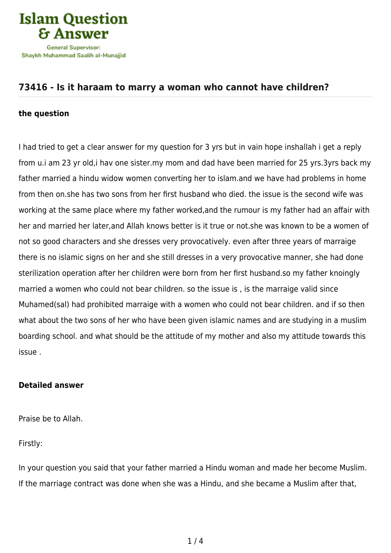

# **[73416 - Is it haraam to marry a woman who cannot have children?](https://islamqa.com/en/answers/73416/is-it-haraam-to-marry-a-woman-who-cannot-have-children)**

#### **the question**

I had tried to get a clear answer for my question for 3 yrs but in vain hope inshallah i get a reply from u.i am 23 yr old,i hav one sister.my mom and dad have been married for 25 yrs.3yrs back my father married a hindu widow women converting her to islam.and we have had problems in home from then on.she has two sons from her first husband who died. the issue is the second wife was working at the same place where my father worked,and the rumour is my father had an affair with her and married her later,and Allah knows better is it true or not.she was known to be a women of not so good characters and she dresses very provocatively. even after three years of marraige there is no islamic signs on her and she still dresses in a very provocative manner, she had done sterilization operation after her children were born from her first husband.so my father knoingly married a women who could not bear children. so the issue is , is the marraige valid since Muhamed(sal) had prohibited marraige with a women who could not bear children. and if so then what about the two sons of her who have been given islamic names and are studying in a muslim boarding school. and what should be the attitude of my mother and also my attitude towards this issue .

### **Detailed answer**

Praise be to Allah.

Firstly:

In your question you said that your father married a Hindu woman and made her become Muslim. If the marriage contract was done when she was a Hindu, and she became a Muslim after that,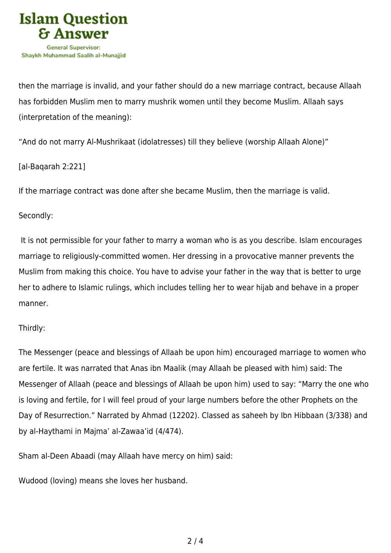

then the marriage is invalid, and your father should do a new marriage contract, because Allaah has forbidden Muslim men to marry mushrik women until they become Muslim. Allaah says (interpretation of the meaning):

"And do not marry Al-Mushrikaat (idolatresses) till they believe (worship Allaah Alone)"

[al-Baqarah 2:221]

If the marriage contract was done after she became Muslim, then the marriage is valid.

Secondly:

 It is not permissible for your father to marry a woman who is as you describe. Islam encourages marriage to religiously-committed women. Her dressing in a provocative manner prevents the Muslim from making this choice. You have to advise your father in the way that is better to urge her to adhere to Islamic rulings, which includes telling her to wear hijab and behave in a proper manner.

## Thirdly:

The Messenger (peace and blessings of Allaah be upon him) encouraged marriage to women who are fertile. It was narrated that Anas ibn Maalik (may Allaah be pleased with him) said: The Messenger of Allaah (peace and blessings of Allaah be upon him) used to say: "Marry the one who is loving and fertile, for I will feel proud of your large numbers before the other Prophets on the Day of Resurrection." Narrated by Ahmad (12202). Classed as saheeh by Ibn Hibbaan (3/338) and by al-Haythami in Majma' al-Zawaa'id (4/474).

Sham al-Deen Abaadi (may Allaah have mercy on him) said:

Wudood (loving) means she loves her husband.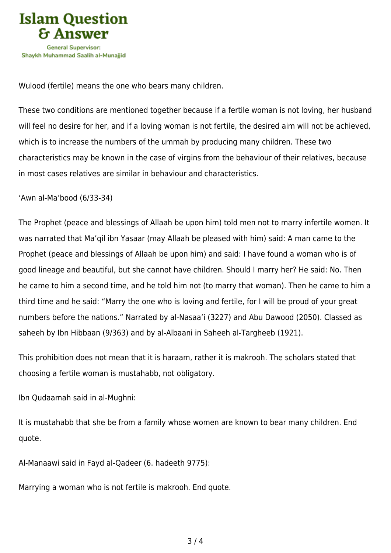

Wulood (fertile) means the one who bears many children.

These two conditions are mentioned together because if a fertile woman is not loving, her husband will feel no desire for her, and if a loving woman is not fertile, the desired aim will not be achieved, which is to increase the numbers of the ummah by producing many children. These two characteristics may be known in the case of virgins from the behaviour of their relatives, because in most cases relatives are similar in behaviour and characteristics.

'Awn al-Ma'bood (6/33-34)

The Prophet (peace and blessings of Allaah be upon him) told men not to marry infertile women. It was narrated that Ma'qil ibn Yasaar (may Allaah be pleased with him) said: A man came to the Prophet (peace and blessings of Allaah be upon him) and said: I have found a woman who is of good lineage and beautiful, but she cannot have children. Should I marry her? He said: No. Then he came to him a second time, and he told him not (to marry that woman). Then he came to him a third time and he said: "Marry the one who is loving and fertile, for I will be proud of your great numbers before the nations." Narrated by al-Nasaa'i (3227) and Abu Dawood (2050). Classed as saheeh by Ibn Hibbaan (9/363) and by al-Albaani in Saheeh al-Targheeb (1921).

This prohibition does not mean that it is haraam, rather it is makrooh. The scholars stated that choosing a fertile woman is mustahabb, not obligatory.

Ibn Qudaamah said in al-Mughni:

It is mustahabb that she be from a family whose women are known to bear many children. End quote.

Al-Manaawi said in Fayd al-Qadeer (6. hadeeth 9775):

Marrying a woman who is not fertile is makrooh. End quote.